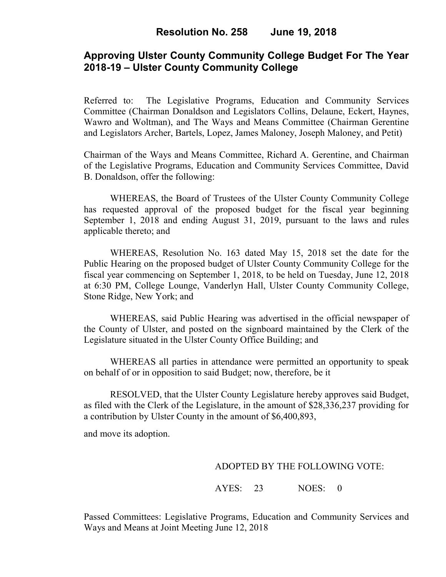# **Approving Ulster County Community College Budget For The Year 2018-19 – Ulster County Community College**

Referred to: The Legislative Programs, Education and Community Services Committee (Chairman Donaldson and Legislators Collins, Delaune, Eckert, Haynes, Wawro and Woltman), and The Ways and Means Committee (Chairman Gerentine and Legislators Archer, Bartels, Lopez, James Maloney, Joseph Maloney, and Petit)

Chairman of the Ways and Means Committee, Richard A. Gerentine, and Chairman of the Legislative Programs, Education and Community Services Committee, David B. Donaldson, offer the following:

WHEREAS, the Board of Trustees of the Ulster County Community College has requested approval of the proposed budget for the fiscal year beginning September 1, 2018 and ending August 31, 2019, pursuant to the laws and rules applicable thereto; and

WHEREAS, Resolution No. 163 dated May 15, 2018 set the date for the Public Hearing on the proposed budget of Ulster County Community College for the fiscal year commencing on September 1, 2018, to be held on Tuesday, June 12, 2018 at 6:30 PM, College Lounge, Vanderlyn Hall, Ulster County Community College, Stone Ridge, New York; and

WHEREAS, said Public Hearing was advertised in the official newspaper of the County of Ulster, and posted on the signboard maintained by the Clerk of the Legislature situated in the Ulster County Office Building; and

WHEREAS all parties in attendance were permitted an opportunity to speak on behalf of or in opposition to said Budget; now, therefore, be it

RESOLVED, that the Ulster County Legislature hereby approves said Budget, as filed with the Clerk of the Legislature, in the amount of \$28,336,237 providing for a contribution by Ulster County in the amount of \$6,400,893,

and move its adoption.

### ADOPTED BY THE FOLLOWING VOTE:

## AYES: 23 NOES: 0

Passed Committees: Legislative Programs, Education and Community Services and Ways and Means at Joint Meeting June 12, 2018